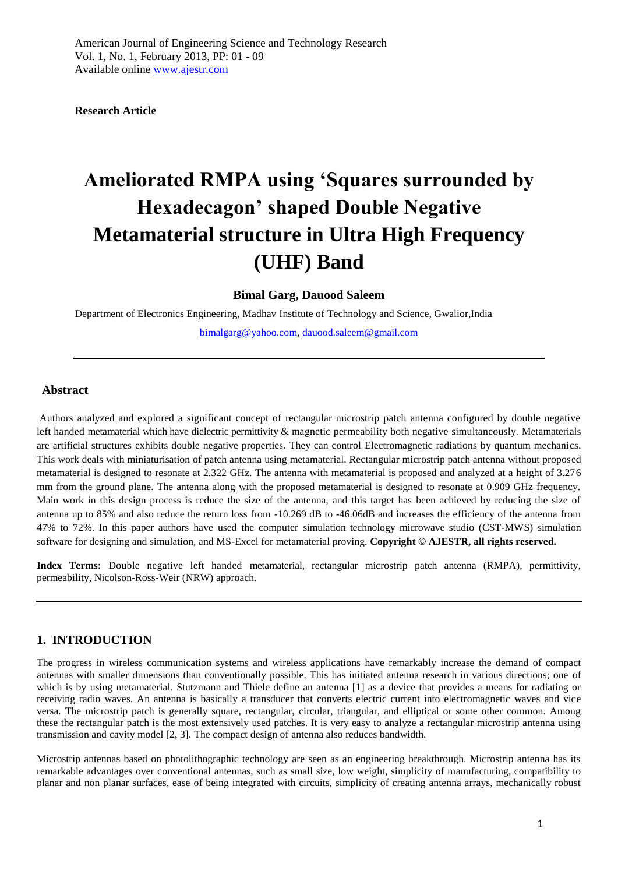**Research Article** 

# **Ameliorated RMPA using 'Squares surrounded by Hexadecagon' shaped Double Negative Metamaterial structure in Ultra High Frequency (UHF) Band**

**Bimal Garg, Dauood Saleem**

Department of Electronics Engineering, Madhav Institute of Technology and Science, Gwalior,India

[bimalgarg@yahoo.com,](mailto:bimalgarg@yahoo.com) [dauood.saleem@gmail.com](mailto:dauood.saleem@gmail.com)

### **Abstract**

Authors analyzed and explored a significant concept of rectangular microstrip patch antenna configured by double negative left handed metamaterial which have dielectric permittivity & magnetic permeability both negative simultaneously. Metamaterials are artificial structures exhibits double negative properties. They can control Electromagnetic radiations by quantum mechanics. This work deals with miniaturisation of patch antenna using metamaterial. Rectangular microstrip patch antenna without proposed metamaterial is designed to resonate at 2.322 GHz. The antenna with metamaterial is proposed and analyzed at a height of 3.276 mm from the ground plane. The antenna along with the proposed metamaterial is designed to resonate at 0.909 GHz frequency. Main work in this design process is reduce the size of the antenna, and this target has been achieved by reducing the size of antenna up to 85% and also reduce the return loss from -10.269 dB to -46.06dB and increases the efficiency of the antenna from 47% to 72%. In this paper authors have used the computer simulation technology microwave studio (CST-MWS) simulation software for designing and simulation, and MS-Excel for metamaterial proving. **Copyright © AJESTR, all rights reserved.** 

**Index Terms:** Double negative left handed metamaterial, rectangular microstrip patch antenna (RMPA), permittivity, permeability, Nicolson-Ross-Weir (NRW) approach.

#### **1. INTRODUCTION**

The progress in wireless communication systems and wireless applications have remarkably increase the demand of compact antennas with smaller dimensions than conventionally possible. This has initiated antenna research in various directions; one of which is by using metamaterial. Stutzmann and Thiele define an antenna [1] as a device that provides a means for radiating or receiving radio waves. An antenna is basically a transducer that converts electric current into electromagnetic waves and vice versa. The microstrip patch is generally square, rectangular, circular, triangular, and elliptical or some other common. Among these the rectangular patch is the most extensively used patches. It is very easy to analyze a rectangular microstrip antenna using transmission and cavity model [2, 3]. The compact design of antenna also reduces bandwidth.

Microstrip antennas based on photolithographic technology are seen as an engineering breakthrough. Microstrip antenna has its remarkable advantages over conventional antennas, such as small size, low weight, simplicity of manufacturing, compatibility to planar and non planar surfaces, ease of being integrated with circuits, simplicity of creating antenna arrays, mechanically robust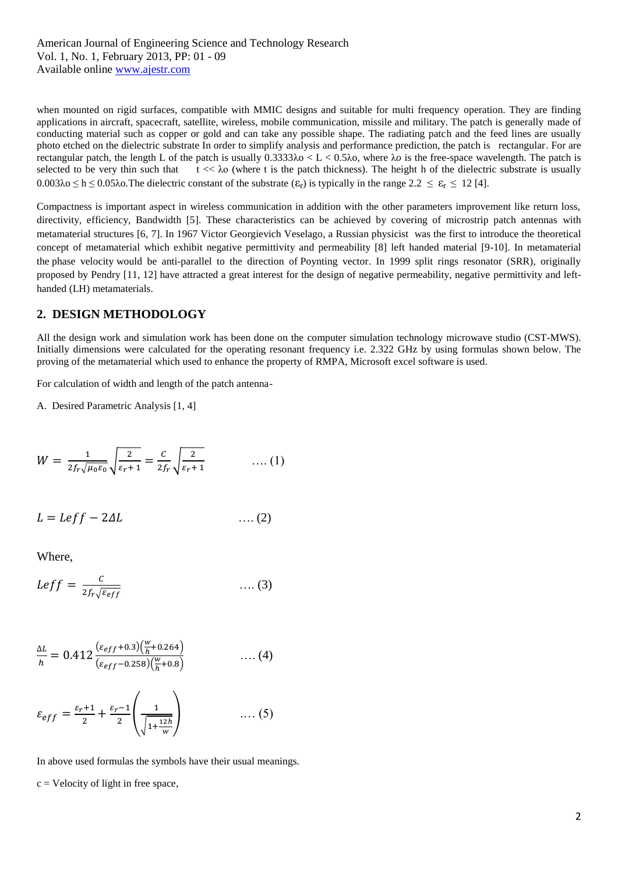American Journal of Engineering Science and Technology Research Vol. 1, No. 1, February 2013, PP: 01 - 09 Available online www.ajestr.com

when mounted on rigid surfaces, compatible with MMIC designs and suitable for multi frequency operation. They are finding applications in aircraft, spacecraft, satellite, wireless, mobile communication, missile and military. The patch is generally made of conducting material such as copper or gold and can take any possible shape. The radiating patch and the feed lines are usually photo etched on the dielectric substrate In order to simplify analysis and performance prediction, the patch is rectangular. For are rectangular patch, the length L of the patch is usually 0.3333λo < L < 0.5λo*,* where λ*o* is the free-space wavelength. The patch is selected to be very thin such that  $t \ll \lambda_0$  (where t is the patch thickness). The height h of the dielectric substrate is usually  $0.003\lambda_0 \leq h \leq 0.05\lambda_0$ . The dielectric constant of the substrate  $(\epsilon_r)$  is typically in the range  $2.2 \leq \epsilon_r \leq 12$  [4].

Compactness is important aspect in wireless communication in addition with the other parameters improvement like return loss, directivity, efficiency, Bandwidth [5]. These characteristics can be achieved by covering of microstrip patch antennas with metamaterial structures [6, 7]. In 1967 Victor Georgievich Veselago, a Russian physicist was the first to introduce the theoretical concept of metamaterial which exhibit negative permittivity and permeability [8] left handed material [9-10]. In metamaterial the [phase velocity](http://en.wikipedia.org/wiki/Phase_velocity) would be anti-parallel to the direction of [Poynting vector.](http://en.wikipedia.org/wiki/Poynting_vector) In 1999 split rings resonator (SRR), originally proposed by Pendry [11, 12] have attracted a great interest for the design of negative permeability, negative permittivity and lefthanded (LH) metamaterials.

#### **2. DESIGN METHODOLOGY**

All the design work and simulation work has been done on the computer simulation technology microwave studio (CST-MWS). Initially dimensions were calculated for the operating resonant frequency i.e. 2.322 GHz by using formulas shown below. The proving of the metamaterial which used to enhance the property of RMPA, Microsoft excel software is used.

For calculation of width and length of the patch antenna-

A. Desired Parametric Analysis [1, 4]

$$
W = \frac{1}{2f_r\sqrt{\mu_0\varepsilon_0}}\sqrt{\frac{2}{\varepsilon_r+1}} = \frac{C}{2f_r}\sqrt{\frac{2}{\varepsilon_r+1}} \qquad \qquad \dots (1)
$$

$$
L = Leff - 2\Delta L \qquad \qquad \dots (2)
$$

Where,

$$
Left = \frac{c}{2f_r\sqrt{\varepsilon_{eff}}}
$$
 (3)

$$
\frac{\Delta L}{h} = 0.412 \frac{(\varepsilon_{eff} + 0.3)(\frac{w}{h} + 0.264)}{(\varepsilon_{eff} - 0.258)(\frac{w}{h} + 0.8)} \qquad \qquad \dots (4)
$$

$$
\varepsilon_{eff} = \frac{\varepsilon_r + 1}{2} + \frac{\varepsilon_r - 1}{2} \left( \frac{1}{\sqrt{1 + \frac{12h}{w}}} \right) \qquad \qquad \dots (5)
$$

In above used formulas the symbols have their usual meanings.  $c =$  Velocity of light in free space,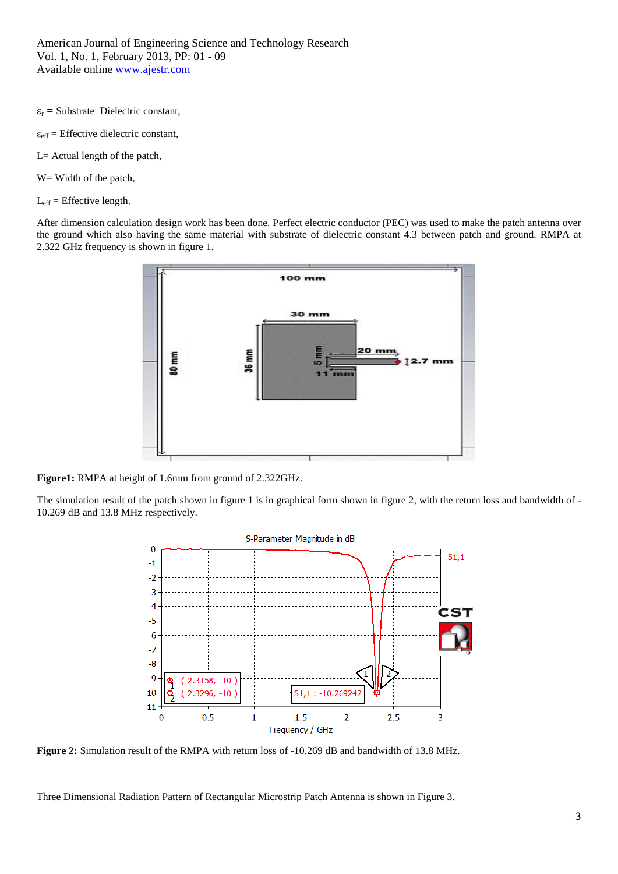American Journal of Engineering Science and Technology Research Vol. 1, No. 1, February 2013, PP: 01 - 09 Available online www.ajestr.com

 $\varepsilon_r$  = Substrate Dielectric constant,

- $\varepsilon_{\text{eff}}$  = Effective dielectric constant,
- L= Actual length of the patch,
- W = Width of the patch,
- $L_{\text{eff}}$  = Effective length.

After dimension calculation design work has been done. Perfect electric conductor (PEC) was used to make the patch antenna over the ground which also having the same material with substrate of dielectric constant 4.3 between patch and ground. RMPA at 2.322 GHz frequency is shown in figure 1.



**Figure1:** RMPA at height of 1.6mm from ground of 2.322GHz.

The simulation result of the patch shown in figure 1 is in graphical form shown in figure 2, with the return loss and bandwidth of - 10.269 dB and 13.8 MHz respectively.



**Figure 2:** Simulation result of the RMPA with return loss of -10.269 dB and bandwidth of 13.8 MHz.

Three Dimensional Radiation Pattern of Rectangular Microstrip Patch Antenna is shown in Figure 3.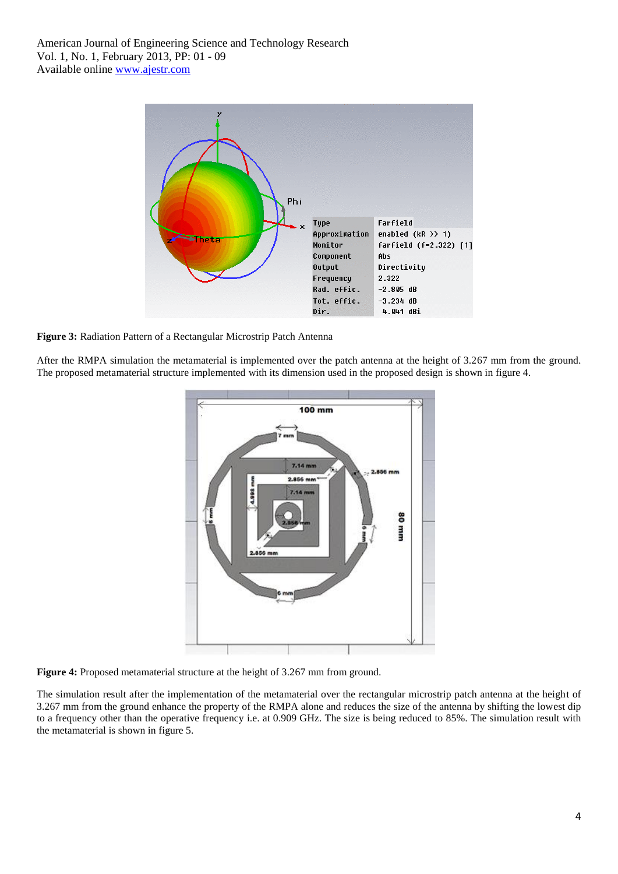

**Figure 3:** Radiation Pattern of a Rectangular Microstrip Patch Antenna

After the RMPA simulation the metamaterial is implemented over the patch antenna at the height of 3.267 mm from the ground. The proposed metamaterial structure implemented with its dimension used in the proposed design is shown in figure 4.



**Figure 4:** Proposed metamaterial structure at the height of 3.267 mm from ground.

The simulation result after the implementation of the metamaterial over the rectangular microstrip patch antenna at the height of 3.267 mm from the ground enhance the property of the RMPA alone and reduces the size of the antenna by shifting the lowest dip to a frequency other than the operative frequency i.e. at 0.909 GHz. The size is being reduced to 85%. The simulation result with the metamaterial is shown in figure 5.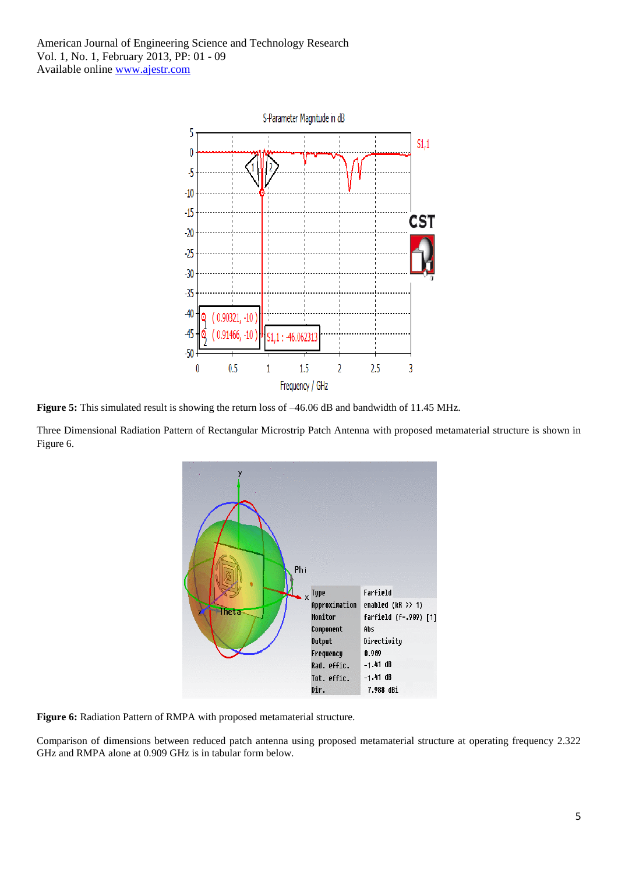American Journal of Engineering Science and Technology Research Vol. 1, No. 1, February 2013, PP: 01 - 09 Available online www.ajestr.com



**Figure 5:** This simulated result is showing the return loss of –46.06 dB and bandwidth of 11.45 MHz.

Three Dimensional Radiation Pattern of Rectangular Microstrip Patch Antenna with proposed metamaterial structure is shown in Figure 6.



**Figure 6:** Radiation Pattern of RMPA with proposed metamaterial structure.

Comparison of dimensions between reduced patch antenna using proposed metamaterial structure at operating frequency 2.322 GHz and RMPA alone at 0.909 GHz is in tabular form below.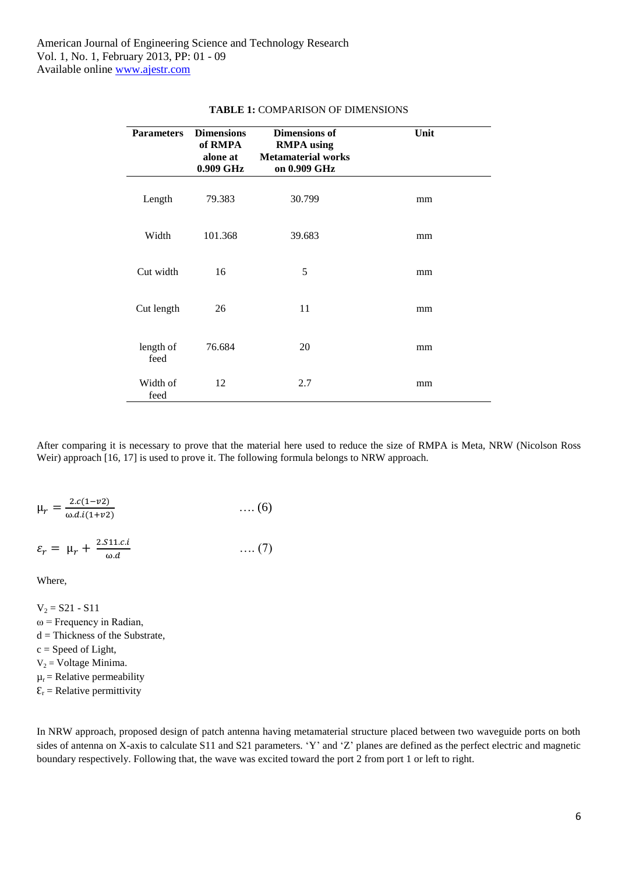| <b>Parameters</b> | <b>Dimensions</b><br>of RMPA<br>alone at<br>0.909 GHz | Dimensions of<br><b>RMPA</b> using<br><b>Metamaterial works</b><br>on 0.909 GHz | Unit |
|-------------------|-------------------------------------------------------|---------------------------------------------------------------------------------|------|
| Length            | 79.383                                                | 30.799                                                                          | mm   |
| Width             | 101.368                                               | 39.683                                                                          | mm   |
| Cut width         | 16                                                    | 5                                                                               | mm   |
| Cut length        | 26                                                    | 11                                                                              | mm   |
| length of<br>feed | 76.684                                                | 20                                                                              | mm   |
| Width of<br>feed  | 12                                                    | 2.7                                                                             | mm   |

#### **TABLE 1:** COMPARISON OF DIMENSIONS

After comparing it is necessary to prove that the material here used to reduce the size of RMPA is Meta, NRW (Nicolson Ross Weir) approach [16, 17] is used to prove it. The following formula belongs to NRW approach.

$$
\mu_r = \frac{2 \cdot c(1 - v^2)}{\omega \cdot d \cdot i(1 + v^2)} \qquad \qquad \dots (6)
$$

$$
\varepsilon_r = \mu_r + \frac{2.511.c.i}{\omega.d} \qquad \qquad \dots (7)
$$

Where,

 $V_2 = S21 - S11$  $\omega$  = Frequency in Radian,  $d = Thickness of the Substrate,$  $c = Speed of Light,$  $V_2$  = Voltage Minima.  $\mu_r$  = Relative permeability  $\mathcal{E}_r$  = Relative permittivity

In NRW approach, proposed design of patch antenna having metamaterial structure placed between two waveguide ports on both sides of antenna on X-axis to calculate S11 and S21 parameters. 'Y' and 'Z' planes are defined as the perfect electric and magnetic boundary respectively. Following that, the wave was excited toward the port 2 from port 1 or left to right.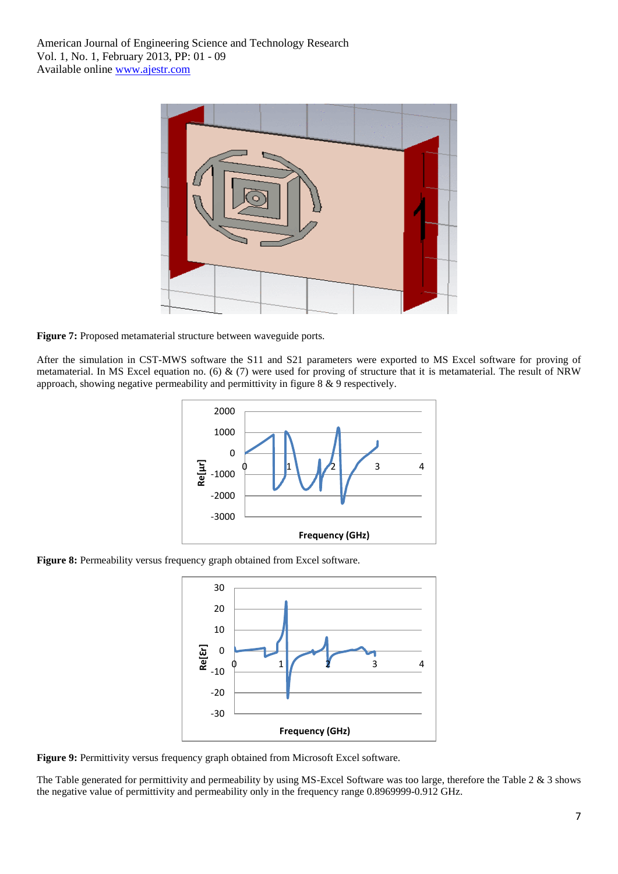

**Figure 7:** Proposed metamaterial structure between waveguide ports.

After the simulation in CST-MWS software the S11 and S21 parameters were exported to MS Excel software for proving of metamaterial. In MS Excel equation no. (6)  $\&$  (7) were used for proving of structure that it is metamaterial. The result of NRW approach, showing negative permeability and permittivity in figure 8 & 9 respectively.



**Figure 8:** Permeability versus frequency graph obtained from Excel software.



**Figure 9:** Permittivity versus frequency graph obtained from Microsoft Excel software.

The Table generated for permittivity and permeability by using MS-Excel Software was too large, therefore the Table 2 & 3 shows the negative value of permittivity and permeability only in the frequency range 0.8969999-0.912 GHz.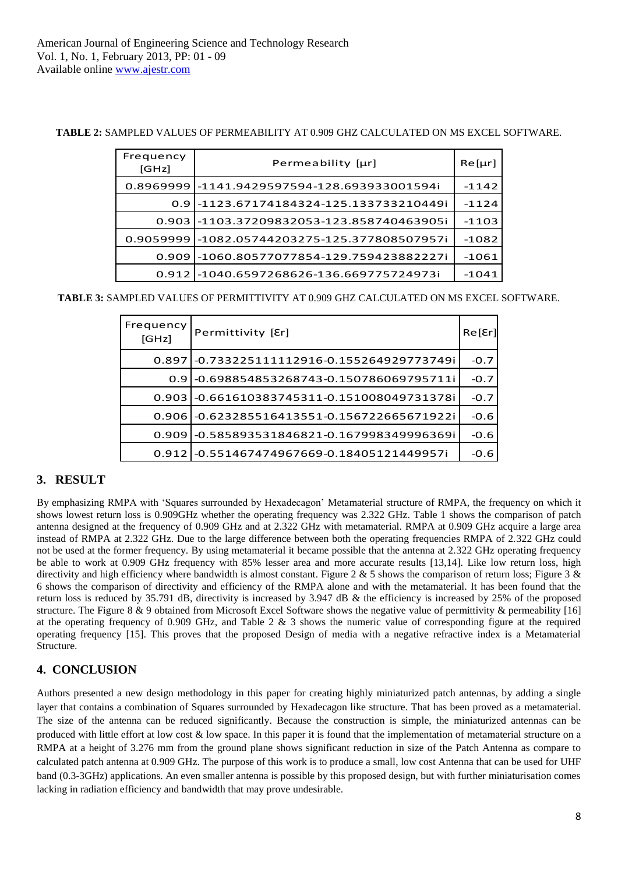**TABLE 2:** SAMPLED VALUES OF PERMEABILITY AT 0.909 GHZ CALCULATED ON MS EXCEL SOFTWARE.

| Frequency<br>[GHz] | Permeability [µr]                             | $Re[\mur]$ |
|--------------------|-----------------------------------------------|------------|
| 0.8969999          | -1141.9429597594-128.693933001594i            | $-1142$    |
|                    | 0.91-1123.67174184324-125.133733210449i       | $-1124$    |
|                    | 0.903l-1103.37209832053-123.858740463905i     | -1103      |
|                    | 0.9059999 -1082.05744203275-125.377808507957i | $-1082$    |
| 0.909              | l-1060.80577077854-129.759423882227i          | -1061      |
| 0.9121             | -1040.6597268626-136.669775724973i            | -1041      |

**TABLE 3:** SAMPLED VALUES OF PERMITTIVITY AT 0.909 GHZ CALCULATED ON MS EXCEL SOFTWARE.

| Frequency<br>[GHz] | Permittivity [Er]                              | Re[Er] |
|--------------------|------------------------------------------------|--------|
|                    | 0.897 - 0.733225111112916 - 0.155264929773749i | $-0.7$ |
| 0.9                | -0.698854853268743-0.150786069795711i          | $-0.7$ |
| 0.903              | -0.661610383745311-0.151008049731378i          | $-0.7$ |
|                    | 0.906 -0.623285516413551-0.156722665671922i    | $-0.6$ |
| 0.909              | l-0.585893531846821-0.167998349996369i         | $-0.6$ |
|                    | 0.9121-0.551467474967669-0.18405121449957i     | -0.6   |

# **3. RESULT**

By emphasizing RMPA with "Squares surrounded by Hexadecagon" Metamaterial structure of RMPA, the frequency on which it shows lowest return loss is 0.909GHz whether the operating frequency was 2.322 GHz. Table 1 shows the comparison of patch antenna designed at the frequency of 0.909 GHz and at 2.322 GHz with metamaterial. RMPA at 0.909 GHz acquire a large area instead of RMPA at 2.322 GHz. Due to the large difference between both the operating frequencies RMPA of 2.322 GHz could not be used at the former frequency. By using metamaterial it became possible that the antenna at 2.322 GHz operating frequency be able to work at 0.909 GHz frequency with 85% lesser area and more accurate results [13,14]. Like low return loss, high directivity and high efficiency where bandwidth is almost constant. Figure 2 & 5 shows the comparison of return loss; Figure 3 & 6 shows the comparison of directivity and efficiency of the RMPA alone and with the metamaterial. It has been found that the return loss is reduced by 35.791 dB, directivity is increased by 3.947 dB & the efficiency is increased by 25% of the proposed structure. The Figure 8 & 9 obtained from Microsoft Excel Software shows the negative value of permittivity & permeability [16] at the operating frequency of 0.909 GHz, and Table 2  $\&$  3 shows the numeric value of corresponding figure at the required operating frequency [15]. This proves that the proposed Design of media with a negative refractive index is a Metamaterial Structure.

# **4. CONCLUSION**

Authors presented a new design methodology in this paper for creating highly miniaturized patch antennas, by adding a single layer that contains a combination of Squares surrounded by Hexadecagon like structure. That has been proved as a metamaterial. The size of the antenna can be reduced significantly. Because the construction is simple, the miniaturized antennas can be produced with little effort at low cost & low space. In this paper it is found that the implementation of metamaterial structure on a RMPA at a height of 3.276 mm from the ground plane shows significant reduction in size of the Patch Antenna as compare to calculated patch antenna at 0.909 GHz. The purpose of this work is to produce a small, low cost Antenna that can be used for UHF band (0.3-3GHz) applications. An even smaller antenna is possible by this proposed design, but with further miniaturisation comes lacking in radiation efficiency and bandwidth that may prove undesirable.